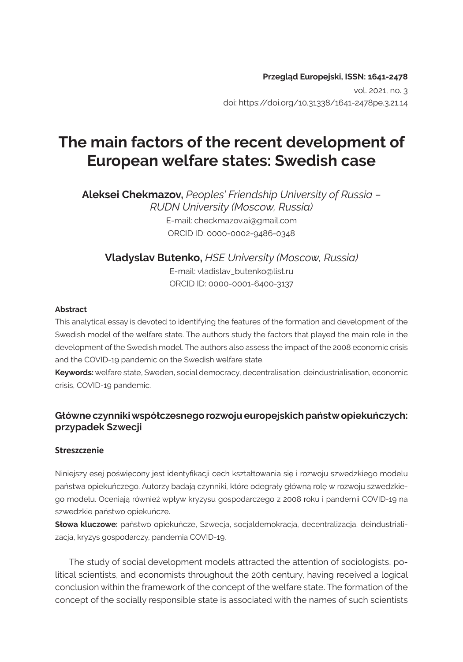**Przegląd Europejski, ISSN: 1641-2478**  vol. 2021, no. 3 doi: https://doi.org/10.31338/1641-2478pe.3.21.14

# **The main factors of the recent development of European welfare states: Swedish case**

**Aleksei Chekmazov,** *Peoples' Friendship University of Russia – RUDN University (Moscow, Russia)* E-mail: checkmazov.ai@gmail.com ORCID ID: 0000-0002-9486-0348

**Vladyslav Butenko,** *HSE University (Moscow, Russia)* E-mail: vladislav\_butenko@list.ru ORCID ID: 0000-0001-6400-3137

#### **Abstract**

This analytical essay is devoted to identifying the features of the formation and development of the Swedish model of the welfare state. The authors study the factors that played the main role in the development of the Swedish model. The authors also assess the impact of the 2008 economic crisis and the COVID-19 pandemic on the Swedish welfare state.

**Keywords:** welfare state, Sweden, social democracy, decentralisation, deindustrialisation, economic crisis, COVID-19 pandemic.

### **Główne czynniki współczesnego rozwoju europejskich państw opiekuńczych: przypadek Szwecji**

#### **Streszczenie**

Niniejszy esej poświęcony jest identyfikacji cech kształtowania się i rozwoju szwedzkiego modelu państwa opiekuńczego. Autorzy badają czynniki, które odegrały główną rolę w rozwoju szwedzkiego modelu. Oceniają również wpływ kryzysu gospodarczego z 2008 roku i pandemii COVID-19 na szwedzkie państwo opiekuńcze.

**Słowa kluczowe:** państwo opiekuńcze, Szwecja, socjaldemokracja, decentralizacja, deindustrializacja, kryzys gospodarczy, pandemia COVID-19.

The study of social development models attracted the attention of sociologists, political scientists, and economists throughout the 20th century, having received a logical conclusion within the framework of the concept of the welfare state. The formation of the concept of the socially responsible state is associated with the names of such scientists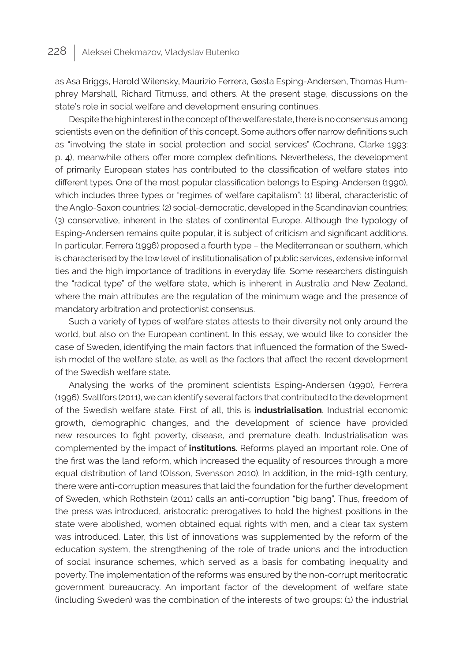as Asa Briggs, Harold Wilensky, Maurizio Ferrera, Gøsta Esping-Andersen, Thomas Humphrey Marshall, Richard Titmuss, and others. At the present stage, discussions on the state's role in social welfare and development ensuring continues.

Despite the high interest in the concept of the welfare state, there is no consensus among scientists even on the definition of this concept. Some authors offer narrow definitions such as "involving the state in social protection and social services" (Cochrane, Clarke 1993: p. 4), meanwhile others offer more complex definitions. Nevertheless, the development of primarily European states has contributed to the classification of welfare states into different types. One of the most popular classification belongs to Esping-Andersen (1990), which includes three types or "regimes of welfare capitalism": (1) liberal, characteristic of the Anglo-Saxon countries; (2) social-democratic, developed in the Scandinavian countries; (3) conservative, inherent in the states of continental Europe. Although the typology of Esping-Andersen remains quite popular, it is subject of criticism and significant additions. In particular, Ferrera (1996) proposed a fourth type – the Mediterranean or southern, which is characterised by the low level of institutionalisation of public services, extensive informal ties and the high importance of traditions in everyday life. Some researchers distinguish the "radical type" of the welfare state, which is inherent in Australia and New Zealand, where the main attributes are the regulation of the minimum wage and the presence of mandatory arbitration and protectionist consensus.

Such a variety of types of welfare states attests to their diversity not only around the world, but also on the European continent. In this essay, we would like to consider the case of Sweden, identifying the main factors that influenced the formation of the Swedish model of the welfare state, as well as the factors that affect the recent development of the Swedish welfare state.

Analysing the works of the prominent scientists Esping-Andersen (1990), Ferrera (1996), Svallfors (2011), we can identify several factors that contributed to the development of the Swedish welfare state. First of all, this is **industrialisation**. Industrial economic growth, demographic changes, and the development of science have provided new resources to fight poverty, disease, and premature death. Industrialisation was complemented by the impact of **institutions**. Reforms played an important role. One of the first was the land reform, which increased the equality of resources through a more equal distribution of land (Olsson, Svensson 2010). In addition, in the mid-19th century, there were anti-corruption measures that laid the foundation for the further development of Sweden, which Rothstein (2011) calls an anti-corruption "big bang". Thus, freedom of the press was introduced, aristocratic prerogatives to hold the highest positions in the state were abolished, women obtained equal rights with men, and a clear tax system was introduced. Later, this list of innovations was supplemented by the reform of the education system, the strengthening of the role of trade unions and the introduction of social insurance schemes, which served as a basis for combating inequality and poverty. The implementation of the reforms was ensured by the non-corrupt meritocratic government bureaucracy. An important factor of the development of welfare state (including Sweden) was the combination of the interests of two groups: (1) the industrial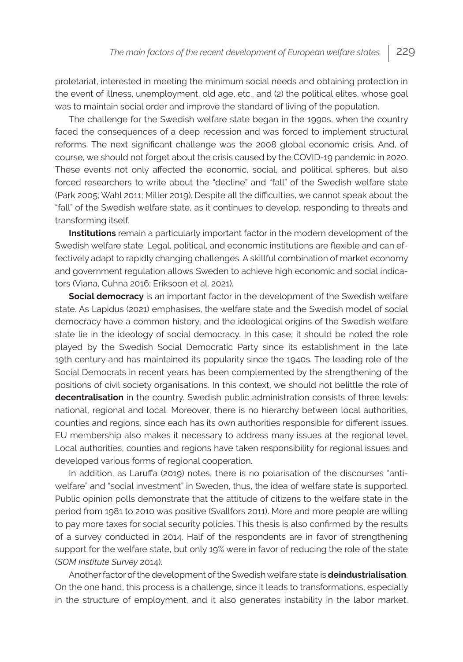proletariat, interested in meeting the minimum social needs and obtaining protection in the event of illness, unemployment, old age, etc., and (2) the political elites, whose goal was to maintain social order and improve the standard of living of the population.

The challenge for the Swedish welfare state began in the 1990s, when the country faced the consequences of a deep recession and was forced to implement structural reforms. The next significant challenge was the 2008 global economic crisis. And, of course, we should not forget about the crisis caused by the COVID-19 pandemic in 2020. These events not only affected the economic, social, and political spheres, but also forced researchers to write about the "decline" and "fall" of the Swedish welfare state (Park 2005; Wahl 2011; Miller 2019). Despite all the difficulties, we cannot speak about the "fall" of the Swedish welfare state, as it continues to develop, responding to threats and transforming itself.

**Institutions** remain a particularly important factor in the modern development of the Swedish welfare state. Legal, political, and economic institutions are flexible and can effectively adapt to rapidly changing challenges. A skillful combination of market economy and government regulation allows Sweden to achieve high economic and social indicators (Viana, Cuhna 2016; Eriksoon et al. 2021).

**Social democracy** is an important factor in the development of the Swedish welfare state. As Lapidus (2021) emphasises, the welfare state and the Swedish model of social democracy have a common history, and the ideological origins of the Swedish welfare state lie in the ideology of social democracy. In this case, it should be noted the role played by the Swedish Social Democratic Party since its establishment in the late 19th century and has maintained its popularity since the 1940s. The leading role of the Social Democrats in recent years has been complemented by the strengthening of the positions of civil society organisations. In this context, we should not belittle the role of **decentralisation** in the country. Swedish public administration consists of three levels: national, regional and local. Moreover, there is no hierarchy between local authorities, counties and regions, since each has its own authorities responsible for different issues. EU membership also makes it necessary to address many issues at the regional level. Local authorities, counties and regions have taken responsibility for regional issues and developed various forms of regional cooperation.

In addition, as Laruffa (2019) notes, there is no polarisation of the discourses "antiwelfare" and "social investment" in Sweden, thus, the idea of welfare state is supported. Public opinion polls demonstrate that the attitude of citizens to the welfare state in the period from 1981 to 2010 was positive (Svallfors 2011). More and more people are willing to pay more taxes for social security policies. This thesis is also confirmed by the results of a survey conducted in 2014. Half of the respondents are in favor of strengthening support for the welfare state, but only 19% were in favor of reducing the role of the state (*SOM Institute Survey* 2014).

Another factor of the development of the Swedish welfare state is **deindustrialisation**. On the one hand, this process is a challenge, since it leads to transformations, especially in the structure of employment, and it also generates instability in the labor market.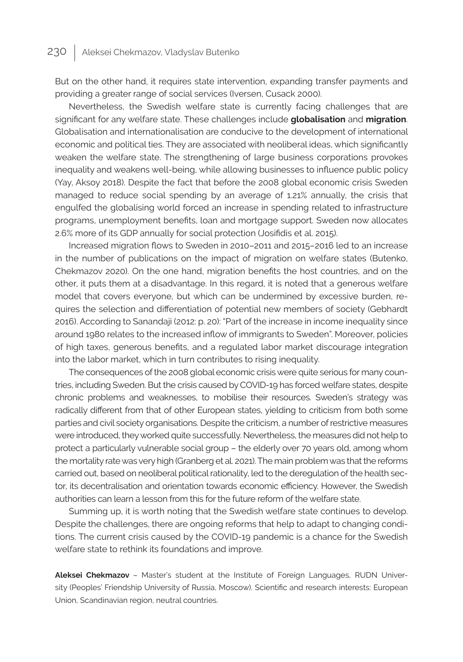## 230 | Aleksei Chekmazov, Vladyslav Butenko

But on the other hand, it requires state intervention, expanding transfer payments and providing a greater range of social services (Iversen, Cusack 2000).

Nevertheless, the Swedish welfare state is currently facing challenges that are significant for any welfare state. These challenges include **globalisation** and **migration**. Globalisation and internationalisation are conducive to the development of international economic and political ties. They are associated with neoliberal ideas, which significantly weaken the welfare state. The strengthening of large business corporations provokes inequality and weakens well-being, while allowing businesses to influence public policy (Yay, Aksoy 2018). Despite the fact that before the 2008 global economic crisis Sweden managed to reduce social spending by an average of 1.21% annually, the crisis that engulfed the globalising world forced an increase in spending related to infrastructure programs, unemployment benefits, loan and mortgage support. Sweden now allocates 2.6% more of its GDP annually for social protection (Josifidis et al. 2015).

Increased migration flows to Sweden in 2010–2011 and 2015–2016 led to an increase in the number of publications on the impact of migration on welfare states (Butenko, Chekmazov 2020). On the one hand, migration benefits the host countries, and on the other, it puts them at a disadvantage. In this regard, it is noted that a generous welfare model that covers everyone, but which can be undermined by excessive burden, requires the selection and differentiation of potential new members of society (Gebhardt 2016). According to Sanandaji (2012: p. 20): "Part of the increase in income inequality since around 1980 relates to the increased inflow of immigrants to Sweden". Moreover, policies of high taxes, generous benefits, and a regulated labor market discourage integration into the labor market, which in turn contributes to rising inequality.

The consequences of the 2008 global economic crisis were quite serious for many countries, including Sweden. But the crisis caused by COVID-19 has forced welfare states, despite chronic problems and weaknesses, to mobilise their resources. Sweden's strategy was radically different from that of other European states, yielding to criticism from both some parties and civil society organisations. Despite the criticism, a number of restrictive measures were introduced, they worked quite successfully. Nevertheless, the measures did not help to protect a particularly vulnerable social group – the elderly over 70 years old, among whom the mortality rate was very high (Granberg et al. 2021). The main problem was that the reforms carried out, based on neoliberal political rationality, led to the deregulation of the health sector, its decentralisation and orientation towards economic efficiency. However, the Swedish authorities can learn a lesson from this for the future reform of the welfare state.

Summing up, it is worth noting that the Swedish welfare state continues to develop. Despite the challenges, there are ongoing reforms that help to adapt to changing conditions. The current crisis caused by the COVID-19 pandemic is a chance for the Swedish welfare state to rethink its foundations and improve.

**Aleksei Chekmazov** – Master's student at the Institute of Foreign Languages, RUDN University (Peoples' Friendship University of Russia, Moscow). Scientific and research interests: European Union, Scandinavian region, neutral countries.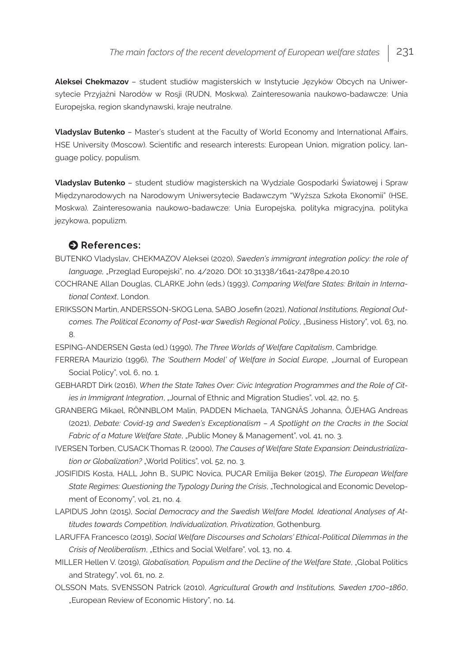**Aleksei Chekmazov** – student studiów magisterskich w Instytucie Języków Obcych na Uniwersytecie Przyjaźni Narodów w Rosji (RUDN, Moskwa). Zainteresowania naukowo-badawcze: Unia Europejska, region skandynawski, kraje neutralne.

**Vladyslav Butenko** – Master's student at the Faculty of World Economy and International Affairs, HSE University (Moscow). Scientific and research interests: European Union, migration policy, language policy, populism.

**Vladyslav Butenko** – student studiów magisterskich na Wydziale Gospodarki Światowej i Spraw Międzynarodowych na Narodowym Uniwersytecie Badawczym "Wyższa Szkoła Ekonomii" (HSE, Moskwa). Zainteresowania naukowo-badawcze: Unia Europejska, polityka migracyjna, polityka językowa, populizm.

### $\bullet$  References:

- BUTENKO Vladyslav, CHEKMAZOV Aleksei (2020), *Sweden's immigrant integration policy: the role of language,* "Przegląd Europejski", no. 4/2020. DOI: 10.31338/1641-2478pe.4.20.10
- COCHRANE Allan Douglas, CLARKE John (eds.) (1993), *Comparing Welfare States: Britain in International Context*, London.
- ERIKSSON Martin, ANDERSSON-SKOG Lena, SABO Josefin (2021), *National Institutions, Regional Outcomes. The Political Economy of Post-war Swedish Regional Policy*, "Business History", vol. 63, no. 8.

ESPING-ANDERSEN Gøsta (ed.) (1990), *The Three Worlds of Welfare Capitalism*, Cambridge.

- FERRERA Maurizio (1996), *The 'Southern Model' of Welfare in Social Europe*, "Journal of European Social Policy", vol. 6, no. 1.
- GEBHARDT Dirk (2016), *When the State Takes Over: Civic Integration Programmes and the Role of Cities in Immigrant Integration*, "Journal of Ethnic and Migration Studies", vol. 42, no. 5.
- GRANBERG Mikael, RÖNNBLOM Malin, PADDEN Michaela, TANGNÄS Johanna, ÖJEHAG Andreas (2021), *Debate: Covid-19 and Sweden's Exceptionalism – A Spotlight on the Cracks in the Social Fabric of a Mature Welfare State*, "Public Money & Management", vol. 41, no. 3.
- IVERSEN Torben, CUSACK Thomas R. (2000), *The Causes of Welfare State Expansion: Deindustrializa*tion or Globalization? "World Politics", vol. 52, no. 3.
- JOSIFIDIS Kosta, HALL John B., SUPIC Novica, PUCAR Emilija Beker (2015), *The European Welfare State Regimes: Questioning the Typology During the Crisis*, "Technological and Economic Development of Economy", vol. 21, no. 4.
- LAPIDUS John (2015), *Social Democracy and the Swedish Welfare Model. Ideational Analyses of Attitudes towards Competition, Individualization, Privatization*, Gothenburg.
- LARUFFA Francesco (2019), *Social Welfare Discourses and Scholars' Ethical-Political Dilemmas in the Crisis of Neoliberalism*, "Ethics and Social Welfare", vol. 13, no. 4.
- MILLER Hellen V. (2019), *Globalisation, Populism and the Decline of the Welfare State*, "Global Politics and Strategy", vol. 61, no. 2.
- OLSSON Mats, SVENSSON Patrick (2010), *Agricultural Growth and Institutions, Sweden 1700–1860*, "European Review of Economic History", no. 14.